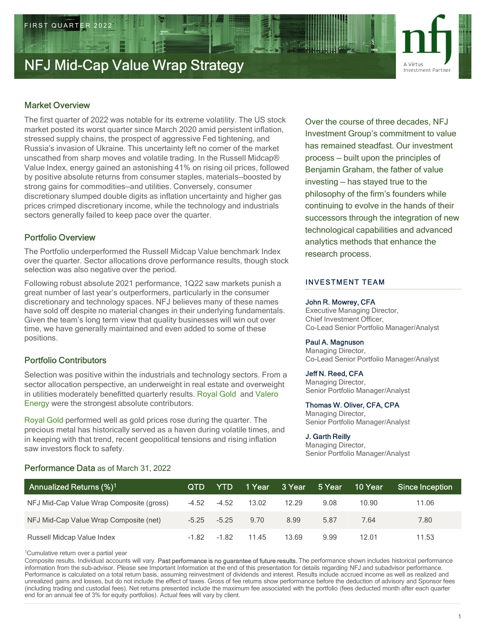

# Market Overview

The first quarter of 2022 was notable for its extreme volatility. The US stock market posted its worst quarter since March 2020 amid persistent inflation, stressed supply chains, the prospect of aggressive Fed tightening, and Russia's invasion of Ukraine. This uncertainty left no corner of the market unscathed from sharp moves and volatile trading. In the Russell Midcap® process – built upon the principles of Value Index, energy gained an astonishing 41% on rising oil prices, followed by positive absolute returns from consumer staples, materials–boosted by investing – has stayed true to the strong gains for commodities—and utilities. Conversely, consumer discretionary slumped double digits as inflation uncertainty and higher gas prices crimped discretionary income, while the technology and industrials sectors generally failed to keep pace over the quarter. The first quarter of 2022 was notable for its extreme volatility. The US stock<br>
market postest discussions durent and president in the prospect of aggressive Fed tightening, and<br>
stressed supply chains, the prospect of agg

# Portfolio Overview

The Portfolio underperformed the Russell Midcap Value benchmark Index over the quarter. Sector allocations drove performance results, though stock selection was also negative over the period.

Following robust absolute 2021 performance, 1Q22 saw markets punish a great number of last year's outperformers, particularly in the consumer discretionary and technology spaces. NFJ believes many of these names have sold off despite no material changes in their underlying fundamentals. time, we have generally maintained and even added to some of these positions. Value Index, energy gained an astonshing 4<sup>3%</sup> on resing on proces, followed by positive absolute returns from consumer staples, materials-boosted by investing — has staped true of value discretionary siumped double digits

# Portfolio Contributors

## Performance Data as of March 31, 2022

Over the course of three decades, NFJ Investment Group's commitment to value has remained steadfast. Our investment process — built upon the factor of the phands of their<br>process — built upon the principles of<br>process — built upon the principles of<br>process — built upon the principles of<br>process — built upon the principles of<br>process — b Benjamin Graham, the father of value **investment Partner**<br>
November 2021<br>
November Partner<br>
Novestment Partner<br>
Investment Group's commitment to value<br>
has remained steadfast. Our investment<br>
process — built upon the principles of<br>
Benjamin Graham, the father philosophy of the firm's founders while continuing to evolve in the hands of their successors through the integration of new technological capabilities and advanced analytics methods that enhance the research process.

# INVESTMENT TEAM

## John R. Mowrey, CFA

## Paul A. Magnuson

## Jeff N. Reed, CFA

### Thomas W. Oliver, CFA, CPA

### J. Garth Reilly

| great number of last year's outperformers, particularly in the consumer<br>discretionary and technology spaces. NFJ believes many of these names<br>John R. Mowrey, CFA<br>have sold off despite no material changes in their underlying fundamentals.<br><b>Executive Managing Director,</b><br>Chief Investment Officer,<br>Given the team's long term view that quality businesses will win out over<br>Co-Lead Senior Portfolio Manager/Analyst<br>time, we have generally maintained and even added to some of these<br>Paul A. Magnuson<br>Managing Director,<br>Co-Lead Senior Portfolio Manager/Analyst<br><b>Portfolio Contributors</b><br>Jeff N. Reed, CFA<br>Selection was positive within the industrials and technology sectors. From a<br>Managing Director,<br>sector allocation perspective, an underweight in real estate and overweight<br>Senior Portfolio Manager/Analyst<br>in utilities moderately benefitted quarterly results. Royal Gold and Valero<br>Energy were the strongest absolute contributors.<br>Thomas W. Oliver, CFA, CPA<br>Managing Director,<br>Royal Gold performed well as gold prices rose during the quarter. The<br>Senior Portfolio Manager/Analyst<br>precious metal has historically served as a haven during volatile times, and<br>J. Garth Reilly<br>in keeping with that trend, recent geopolitical tensions and rising inflation<br>Managing Director,<br>Senior Portfolio Manager/Analyst<br><b>YTD</b><br>1 Year<br>3 Year<br>5 Year<br>10 Year<br><b>Since Inception</b><br><b>QTD</b><br>$-4.52$<br>13.02<br>12.29<br>10.90<br>11.06<br>$-4.52$<br>9.08<br>$-5.25$<br>9.70<br>8.99<br>7.64<br>7.80<br>$-5.25$<br>5.87<br>11.53<br>$-1.82$<br>$-1.82$<br>11.45<br>13.69<br>9.99<br>12.01<br>Composite results. Individual accounts will vary. Past performance is no guarantee of future results. The performance shown includes historical performance<br>information from the sub-advisor. Please see Important Information at the end of this presentation for details regarding NFJ and subadvisor performance.<br>Performance is calculated on a total return basis, assuming reinvestment of dividends and interest. Results include accrued income as well as realized and<br>unrealized gains and losses, but do not include the effect of taxes. Gross of fee returns show performance before the deduction of advisory and Sponsor fees<br>(including trading and custodial fees). Net returns presented include the maximum fee associated with the portfolio (fees deducted month after each quarter<br>end for an annual fee of 3% for equity portfolios). Actual fees will vary by client. | Following robust absolute 2021 performance, 1Q22 saw markets punish a |  |  | <b>INVESTMENT TEAM</b> |  |
|-------------------------------------------------------------------------------------------------------------------------------------------------------------------------------------------------------------------------------------------------------------------------------------------------------------------------------------------------------------------------------------------------------------------------------------------------------------------------------------------------------------------------------------------------------------------------------------------------------------------------------------------------------------------------------------------------------------------------------------------------------------------------------------------------------------------------------------------------------------------------------------------------------------------------------------------------------------------------------------------------------------------------------------------------------------------------------------------------------------------------------------------------------------------------------------------------------------------------------------------------------------------------------------------------------------------------------------------------------------------------------------------------------------------------------------------------------------------------------------------------------------------------------------------------------------------------------------------------------------------------------------------------------------------------------------------------------------------------------------------------------------------------------------------------------------------------------------------------------------------------------------------------------------------------------------------------------------------------------------------------------------------------------------------------------------------------------------------------------------------------------------------------------------------------------------------------------------------------------------------------------------------------------------------------------------------------------------------------------------------------------------------------------------------------------------------------------------------------------------------------------------------------------------------------------------------------------------------------------------------------------------------------------------------|-----------------------------------------------------------------------|--|--|------------------------|--|
|                                                                                                                                                                                                                                                                                                                                                                                                                                                                                                                                                                                                                                                                                                                                                                                                                                                                                                                                                                                                                                                                                                                                                                                                                                                                                                                                                                                                                                                                                                                                                                                                                                                                                                                                                                                                                                                                                                                                                                                                                                                                                                                                                                                                                                                                                                                                                                                                                                                                                                                                                                                                                                                                   | positions.                                                            |  |  |                        |  |
|                                                                                                                                                                                                                                                                                                                                                                                                                                                                                                                                                                                                                                                                                                                                                                                                                                                                                                                                                                                                                                                                                                                                                                                                                                                                                                                                                                                                                                                                                                                                                                                                                                                                                                                                                                                                                                                                                                                                                                                                                                                                                                                                                                                                                                                                                                                                                                                                                                                                                                                                                                                                                                                                   |                                                                       |  |  |                        |  |
|                                                                                                                                                                                                                                                                                                                                                                                                                                                                                                                                                                                                                                                                                                                                                                                                                                                                                                                                                                                                                                                                                                                                                                                                                                                                                                                                                                                                                                                                                                                                                                                                                                                                                                                                                                                                                                                                                                                                                                                                                                                                                                                                                                                                                                                                                                                                                                                                                                                                                                                                                                                                                                                                   |                                                                       |  |  |                        |  |
|                                                                                                                                                                                                                                                                                                                                                                                                                                                                                                                                                                                                                                                                                                                                                                                                                                                                                                                                                                                                                                                                                                                                                                                                                                                                                                                                                                                                                                                                                                                                                                                                                                                                                                                                                                                                                                                                                                                                                                                                                                                                                                                                                                                                                                                                                                                                                                                                                                                                                                                                                                                                                                                                   |                                                                       |  |  |                        |  |
|                                                                                                                                                                                                                                                                                                                                                                                                                                                                                                                                                                                                                                                                                                                                                                                                                                                                                                                                                                                                                                                                                                                                                                                                                                                                                                                                                                                                                                                                                                                                                                                                                                                                                                                                                                                                                                                                                                                                                                                                                                                                                                                                                                                                                                                                                                                                                                                                                                                                                                                                                                                                                                                                   |                                                                       |  |  |                        |  |
|                                                                                                                                                                                                                                                                                                                                                                                                                                                                                                                                                                                                                                                                                                                                                                                                                                                                                                                                                                                                                                                                                                                                                                                                                                                                                                                                                                                                                                                                                                                                                                                                                                                                                                                                                                                                                                                                                                                                                                                                                                                                                                                                                                                                                                                                                                                                                                                                                                                                                                                                                                                                                                                                   | saw investors flock to safety.                                        |  |  |                        |  |
|                                                                                                                                                                                                                                                                                                                                                                                                                                                                                                                                                                                                                                                                                                                                                                                                                                                                                                                                                                                                                                                                                                                                                                                                                                                                                                                                                                                                                                                                                                                                                                                                                                                                                                                                                                                                                                                                                                                                                                                                                                                                                                                                                                                                                                                                                                                                                                                                                                                                                                                                                                                                                                                                   | Performance Data as of March 31, 2022                                 |  |  |                        |  |
|                                                                                                                                                                                                                                                                                                                                                                                                                                                                                                                                                                                                                                                                                                                                                                                                                                                                                                                                                                                                                                                                                                                                                                                                                                                                                                                                                                                                                                                                                                                                                                                                                                                                                                                                                                                                                                                                                                                                                                                                                                                                                                                                                                                                                                                                                                                                                                                                                                                                                                                                                                                                                                                                   | Annualized Returns (%) <sup>1</sup>                                   |  |  |                        |  |
|                                                                                                                                                                                                                                                                                                                                                                                                                                                                                                                                                                                                                                                                                                                                                                                                                                                                                                                                                                                                                                                                                                                                                                                                                                                                                                                                                                                                                                                                                                                                                                                                                                                                                                                                                                                                                                                                                                                                                                                                                                                                                                                                                                                                                                                                                                                                                                                                                                                                                                                                                                                                                                                                   | NFJ Mid-Cap Value Wrap Composite (gross)                              |  |  |                        |  |
|                                                                                                                                                                                                                                                                                                                                                                                                                                                                                                                                                                                                                                                                                                                                                                                                                                                                                                                                                                                                                                                                                                                                                                                                                                                                                                                                                                                                                                                                                                                                                                                                                                                                                                                                                                                                                                                                                                                                                                                                                                                                                                                                                                                                                                                                                                                                                                                                                                                                                                                                                                                                                                                                   | NFJ Mid-Cap Value Wrap Composite (net)                                |  |  |                        |  |
|                                                                                                                                                                                                                                                                                                                                                                                                                                                                                                                                                                                                                                                                                                                                                                                                                                                                                                                                                                                                                                                                                                                                                                                                                                                                                                                                                                                                                                                                                                                                                                                                                                                                                                                                                                                                                                                                                                                                                                                                                                                                                                                                                                                                                                                                                                                                                                                                                                                                                                                                                                                                                                                                   | Russell Midcap Value Index                                            |  |  |                        |  |
|                                                                                                                                                                                                                                                                                                                                                                                                                                                                                                                                                                                                                                                                                                                                                                                                                                                                                                                                                                                                                                                                                                                                                                                                                                                                                                                                                                                                                                                                                                                                                                                                                                                                                                                                                                                                                                                                                                                                                                                                                                                                                                                                                                                                                                                                                                                                                                                                                                                                                                                                                                                                                                                                   | <sup>1</sup> Cumulative return over a partial year                    |  |  |                        |  |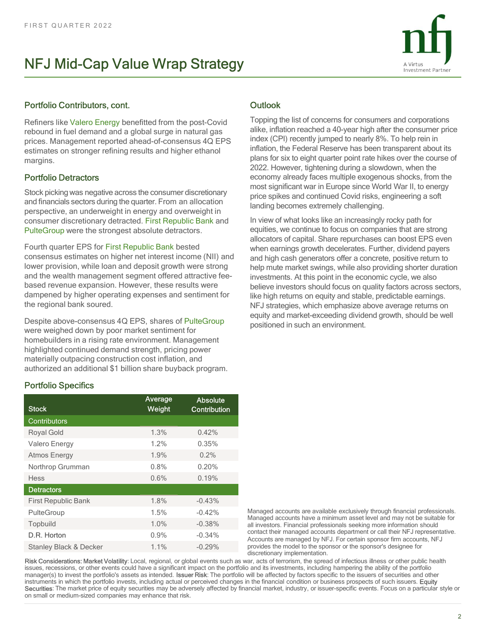

# Portfolio Contributors, cont.

Refiners like Valero Energy benefitted from the post-Covid rebound in fuel demand and a global surge in natural gas prices. Management reported ahead-of-consensus 4Q EPS estimates on stronger refining results and higher ethanol margins.

# Portfolio Detractors

Stock picking was negative across the consumer discretionary perspective, an underweight in energy and overweight in consumer discretionary detracted. First Republic Bank and PulteGroup were the strongest absolute detractors.

# **Outlook**

FIRST QUARTER 2022<br> **ANTO MICI-Cap Value Wrap Strategy**<br> **Portfolio Contributors, cont.** Outlook<br>
Refiners like Valero Energy benefitted from the post-Covid<br>
Topping the list of concerns for consumers and corrections<br>
rebo Topping the list of concerns for consumers and corporations alike, inflation reached a 40-year high after the consumer price index (CPI) recently jumped to nearly 8%. To help rein in inflation, the Federal Reserve has been transparent about its plans for six to eight quarter point rate hikes over the course of 2022. However, tightening during a slowdown, when the economy already faces multiple exogenous shocks, from the most significant war in Europe since World War II, to energy price spikes and continued Covid risks, engineering a soft landing becomes extremely challenging.

In view of what looks like an increasingly rocky path for equities, we continue to focus on companies that are strong allocators of capital. Share repurchases can boost EPS even when earnings growth decelerates. Further, dividend payers and high cash generators offer a concrete, positive return to help mute market swings, while also providing shorter duration investments. At this point in the economic cycle, we also believe investors should focus on quality factors across sectors, like high returns on equity and stable, predictable earnings. NFJ strategies, which emphasize above average returns on equity and market-exceeding dividend growth, should be well positioned in such an environment.

# Portfolio Specifics

| PulteGroup were the strongest absolute detractors.<br>Fourth quarter EPS for First Republic Bank bested<br>consensus estimates on higher net interest income (NII) and<br>lower provision, while loan and deposit growth were strong<br>and the wealth management segment offered attractive fee-<br>based revenue expansion. However, these results were<br>dampened by higher operating expenses and sentiment for<br>the regional bank soured.<br>Despite above-consensus 4Q EPS, shares of PulteGroup<br>were weighed down by poor market sentiment for<br>homebuilders in a rising rate environment. Management<br>highlighted continued demand strength, pricing power<br>materially outpacing construction cost inflation, and<br>authorized an additional \$1 billion share buyback program. |         |                     | equities, we continue to focus on companies that are strong<br>allocators of capital. Share repurchases can boost EPS even<br>when earnings growth decelerates. Further, dividend payers<br>and high cash generators offer a concrete, positive return to<br>help mute market swings, while also providing shorter duration<br>investments. At this point in the economic cycle, we also<br>believe investors should focus on quality factors across sectors,<br>like high returns on equity and stable, predictable earnings.<br>NFJ strategies, which emphasize above average returns on<br>equity and market-exceeding dividend growth, should be well<br>positioned in such an environment.                                                                                                                                                  |
|------------------------------------------------------------------------------------------------------------------------------------------------------------------------------------------------------------------------------------------------------------------------------------------------------------------------------------------------------------------------------------------------------------------------------------------------------------------------------------------------------------------------------------------------------------------------------------------------------------------------------------------------------------------------------------------------------------------------------------------------------------------------------------------------------|---------|---------------------|--------------------------------------------------------------------------------------------------------------------------------------------------------------------------------------------------------------------------------------------------------------------------------------------------------------------------------------------------------------------------------------------------------------------------------------------------------------------------------------------------------------------------------------------------------------------------------------------------------------------------------------------------------------------------------------------------------------------------------------------------------------------------------------------------------------------------------------------------|
| <b>Portfolio Specifics</b>                                                                                                                                                                                                                                                                                                                                                                                                                                                                                                                                                                                                                                                                                                                                                                           |         |                     |                                                                                                                                                                                                                                                                                                                                                                                                                                                                                                                                                                                                                                                                                                                                                                                                                                                  |
|                                                                                                                                                                                                                                                                                                                                                                                                                                                                                                                                                                                                                                                                                                                                                                                                      | Average | <b>Absolute</b>     |                                                                                                                                                                                                                                                                                                                                                                                                                                                                                                                                                                                                                                                                                                                                                                                                                                                  |
| <b>Stock</b><br>Contributors                                                                                                                                                                                                                                                                                                                                                                                                                                                                                                                                                                                                                                                                                                                                                                         | Weight  | <b>Contribution</b> |                                                                                                                                                                                                                                                                                                                                                                                                                                                                                                                                                                                                                                                                                                                                                                                                                                                  |
| Royal Gold                                                                                                                                                                                                                                                                                                                                                                                                                                                                                                                                                                                                                                                                                                                                                                                           | 1.3%    | 0.42%               |                                                                                                                                                                                                                                                                                                                                                                                                                                                                                                                                                                                                                                                                                                                                                                                                                                                  |
|                                                                                                                                                                                                                                                                                                                                                                                                                                                                                                                                                                                                                                                                                                                                                                                                      |         |                     |                                                                                                                                                                                                                                                                                                                                                                                                                                                                                                                                                                                                                                                                                                                                                                                                                                                  |
| Valero Energy                                                                                                                                                                                                                                                                                                                                                                                                                                                                                                                                                                                                                                                                                                                                                                                        | 1.2%    | 0.35%               |                                                                                                                                                                                                                                                                                                                                                                                                                                                                                                                                                                                                                                                                                                                                                                                                                                                  |
| <b>Atmos Energy</b>                                                                                                                                                                                                                                                                                                                                                                                                                                                                                                                                                                                                                                                                                                                                                                                  | 1.9%    | 0.2%                |                                                                                                                                                                                                                                                                                                                                                                                                                                                                                                                                                                                                                                                                                                                                                                                                                                                  |
| Northrop Grumman                                                                                                                                                                                                                                                                                                                                                                                                                                                                                                                                                                                                                                                                                                                                                                                     | 0.8%    | 0.20%               |                                                                                                                                                                                                                                                                                                                                                                                                                                                                                                                                                                                                                                                                                                                                                                                                                                                  |
| <b>Hess</b>                                                                                                                                                                                                                                                                                                                                                                                                                                                                                                                                                                                                                                                                                                                                                                                          | 0.6%    | 0.19%               |                                                                                                                                                                                                                                                                                                                                                                                                                                                                                                                                                                                                                                                                                                                                                                                                                                                  |
| <b>Detractors</b>                                                                                                                                                                                                                                                                                                                                                                                                                                                                                                                                                                                                                                                                                                                                                                                    |         |                     |                                                                                                                                                                                                                                                                                                                                                                                                                                                                                                                                                                                                                                                                                                                                                                                                                                                  |
| First Republic Bank                                                                                                                                                                                                                                                                                                                                                                                                                                                                                                                                                                                                                                                                                                                                                                                  | 1.8%    | $-0.43%$            |                                                                                                                                                                                                                                                                                                                                                                                                                                                                                                                                                                                                                                                                                                                                                                                                                                                  |
| PulteGroup                                                                                                                                                                                                                                                                                                                                                                                                                                                                                                                                                                                                                                                                                                                                                                                           | 1.5%    | $-0.42%$            | Managed accounts are available exclusively through financial professionals.<br>Managed accounts have a minimum asset level and may not be suitable for                                                                                                                                                                                                                                                                                                                                                                                                                                                                                                                                                                                                                                                                                           |
| Topbuild                                                                                                                                                                                                                                                                                                                                                                                                                                                                                                                                                                                                                                                                                                                                                                                             | 1.0%    | $-0.38%$            | all investors. Financial professionals seeking more information should<br>contact their managed accounts department or call their NFJ representative.                                                                                                                                                                                                                                                                                                                                                                                                                                                                                                                                                                                                                                                                                            |
| D.R. Horton                                                                                                                                                                                                                                                                                                                                                                                                                                                                                                                                                                                                                                                                                                                                                                                          | 0.9%    | $-0.34%$            | Accounts are managed by NFJ. For certain sponsor firm accounts, NFJ                                                                                                                                                                                                                                                                                                                                                                                                                                                                                                                                                                                                                                                                                                                                                                              |
| Stanley Black & Decker                                                                                                                                                                                                                                                                                                                                                                                                                                                                                                                                                                                                                                                                                                                                                                               | 1.1%    | $-0.29%$            | provides the model to the sponsor or the sponsor's designee for<br>discretionary implementation.                                                                                                                                                                                                                                                                                                                                                                                                                                                                                                                                                                                                                                                                                                                                                 |
| on small or medium-sized companies may enhance that risk.                                                                                                                                                                                                                                                                                                                                                                                                                                                                                                                                                                                                                                                                                                                                            |         |                     | Risk Considerations: Market Volatility: Local, regional, or global events such as war, acts of terrorism, the spread of infectious illness or other public health<br>issues, recessions, or other events could have a significant impact on the portfolio and its investments, including hampering the ability of the portfolio<br>manager(s) to invest the portfolio's assets as intended. <b>Issuer Risk</b> : The portfolio will be affected by factors specific to the issuers of securities and other<br>instruments in which the portfolio invests, including actual or perceived changes in the financial condition or business prospects of such issuers. Equity<br>Securities: The market price of equity securities may be adversely affected by financial market, industry, or issuer-specific events. Focus on a particular style or |
|                                                                                                                                                                                                                                                                                                                                                                                                                                                                                                                                                                                                                                                                                                                                                                                                      |         |                     |                                                                                                                                                                                                                                                                                                                                                                                                                                                                                                                                                                                                                                                                                                                                                                                                                                                  |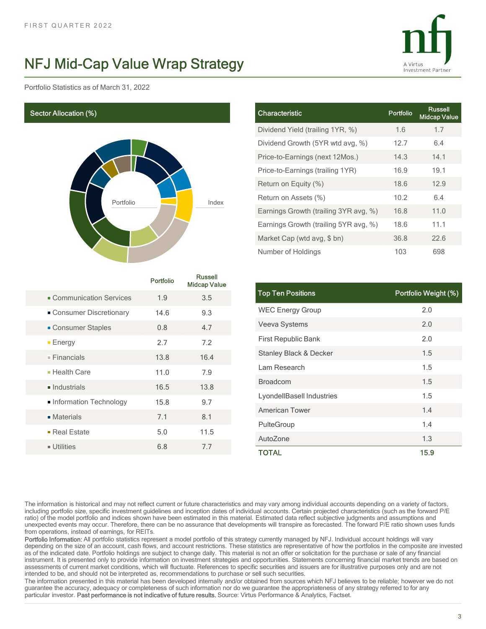

Portfolio Statistics as of March 31, 2022

Sector Allocation (%)



| <b>Nrap Strategy</b> |                                       |                                       | A Virtus  | Investment Partner                    |
|----------------------|---------------------------------------|---------------------------------------|-----------|---------------------------------------|
|                      |                                       |                                       |           |                                       |
|                      |                                       |                                       |           |                                       |
|                      |                                       | Characteristic                        | Portfolio | <b>Russell</b><br><b>Midcap Value</b> |
|                      |                                       | Dividend Yield (trailing 1YR, %)      | 1.6       | 1.7                                   |
|                      |                                       | Dividend Growth (5YR wtd avg, %)      | 12.7      | 6.4                                   |
|                      |                                       | Price-to-Earnings (next 12Mos.)       | 14.3      | 14.1                                  |
|                      |                                       | Price-to-Earnings (trailing 1YR)      | 16.9      | 19.1                                  |
|                      |                                       | Return on Equity (%)                  | 18.6      | 12.9                                  |
|                      | Index                                 | Return on Assets (%)                  | 10.2      | 6.4                                   |
|                      |                                       | Earnings Growth (trailing 3YR avg, %) | 16.8      | 11.0                                  |
|                      |                                       | Earnings Growth (trailing 5YR avg, %) | 18.6      | 11.1                                  |
|                      |                                       | Market Cap (wtd avg, \$ bn)           | 36.8      | 22.6                                  |
|                      |                                       | Number of Holdings                    | 103       | 698                                   |
|                      |                                       |                                       |           |                                       |
| ortfolio             | <b>Russell</b><br><b>Midcap Value</b> |                                       |           |                                       |
| $1.9$                | $3.5\,$                               | <b>Top Ten Positions</b>              |           | Portfolio Weight (%)                  |
| 14.6                 | 9.3                                   | <b>WEC Energy Group</b>               |           | $2.0$                                 |
| $0.8\,$              | 4.7                                   | Veeva Systems                         |           | $2.0\,$                               |
| 2.7                  | $7.2\,$                               | First Republic Bank                   |           | $2.0\,$                               |
| 13.8                 | 16.4                                  | <b>Stanley Black &amp; Decker</b>     |           | $1.5\,$                               |
| 11.0                 | $7.9$                                 | Lam Research                          |           | $1.5$                                 |
| 16.5                 | 13.8                                  | Broadcom                              |           | $1.5\,$                               |
|                      |                                       |                                       |           |                                       |

|                                                                                                        | Portfolio | <b>Russell</b><br><b>Midcap Value</b> |                                                                                                                                                                                                                                                                                                                                                                                                                                                                                                                                                                                                                                                                                                                                                                                                                                                                                                                                                                                                                                                                                                                                                                                                                                                                                            |                      |
|--------------------------------------------------------------------------------------------------------|-----------|---------------------------------------|--------------------------------------------------------------------------------------------------------------------------------------------------------------------------------------------------------------------------------------------------------------------------------------------------------------------------------------------------------------------------------------------------------------------------------------------------------------------------------------------------------------------------------------------------------------------------------------------------------------------------------------------------------------------------------------------------------------------------------------------------------------------------------------------------------------------------------------------------------------------------------------------------------------------------------------------------------------------------------------------------------------------------------------------------------------------------------------------------------------------------------------------------------------------------------------------------------------------------------------------------------------------------------------------|----------------------|
| • Communication Services                                                                               | 1.9       | 3.5                                   | <b>Top Ten Positions</b>                                                                                                                                                                                                                                                                                                                                                                                                                                                                                                                                                                                                                                                                                                                                                                                                                                                                                                                                                                                                                                                                                                                                                                                                                                                                   | Portfolio Weight (%) |
| Consumer Discretionary                                                                                 | 14.6      | 9.3                                   | <b>WEC Energy Group</b>                                                                                                                                                                                                                                                                                                                                                                                                                                                                                                                                                                                                                                                                                                                                                                                                                                                                                                                                                                                                                                                                                                                                                                                                                                                                    | 2.0                  |
| • Consumer Staples                                                                                     | 0.8       | 4.7                                   | Veeva Systems                                                                                                                                                                                                                                                                                                                                                                                                                                                                                                                                                                                                                                                                                                                                                                                                                                                                                                                                                                                                                                                                                                                                                                                                                                                                              | 2.0                  |
| $E$ nergy                                                                                              | 2.7       | 7.2                                   | First Republic Bank                                                                                                                                                                                                                                                                                                                                                                                                                                                                                                                                                                                                                                                                                                                                                                                                                                                                                                                                                                                                                                                                                                                                                                                                                                                                        | 2.0                  |
| $\blacksquare$ Financials                                                                              | 13.8      | 16.4                                  | <b>Stanley Black &amp; Decker</b>                                                                                                                                                                                                                                                                                                                                                                                                                                                                                                                                                                                                                                                                                                                                                                                                                                                                                                                                                                                                                                                                                                                                                                                                                                                          | 1.5                  |
| - Health Care                                                                                          | 11.0      | 7.9                                   | Lam Research                                                                                                                                                                                                                                                                                                                                                                                                                                                                                                                                                                                                                                                                                                                                                                                                                                                                                                                                                                                                                                                                                                                                                                                                                                                                               | 1.5                  |
| Industrials                                                                                            | 16.5      | 13.8                                  | <b>Broadcom</b>                                                                                                                                                                                                                                                                                                                                                                                                                                                                                                                                                                                                                                                                                                                                                                                                                                                                                                                                                                                                                                                                                                                                                                                                                                                                            | 1.5                  |
| Information Technology                                                                                 | 15.8      | 9.7                                   | LyondellBasell Industries                                                                                                                                                                                                                                                                                                                                                                                                                                                                                                                                                                                                                                                                                                                                                                                                                                                                                                                                                                                                                                                                                                                                                                                                                                                                  | 1.5                  |
| Materials                                                                                              | 7.1       | 8.1                                   | <b>American Tower</b>                                                                                                                                                                                                                                                                                                                                                                                                                                                                                                                                                                                                                                                                                                                                                                                                                                                                                                                                                                                                                                                                                                                                                                                                                                                                      | 1.4                  |
| Real Estate                                                                                            | $5.0$     | 11.5                                  | PulteGroup                                                                                                                                                                                                                                                                                                                                                                                                                                                                                                                                                                                                                                                                                                                                                                                                                                                                                                                                                                                                                                                                                                                                                                                                                                                                                 | 1.4                  |
|                                                                                                        |           | 7.7                                   | AutoZone                                                                                                                                                                                                                                                                                                                                                                                                                                                                                                                                                                                                                                                                                                                                                                                                                                                                                                                                                                                                                                                                                                                                                                                                                                                                                   | 1.3                  |
| $\blacksquare$ Utilities                                                                               | 6.8       |                                       | <b>TOTAL</b>                                                                                                                                                                                                                                                                                                                                                                                                                                                                                                                                                                                                                                                                                                                                                                                                                                                                                                                                                                                                                                                                                                                                                                                                                                                                               | 15.9                 |
| from operations, instead of earnings, for REITs.                                                       |           |                                       | The information is historical and may not reflect current or future characteristics and may vary among individual accounts depending on a variety of factors,<br>including portfolio size, specific investment quidelines and inception dates of individual accounts. Certain projected characteristics (such as the forward P/E<br>ratio) of the model portfolio and indices shown have been estimated in this material. Estimated data reflect subjective judgments and assumptions and<br>unexpected events may occur. Therefore, there can be no assurance that developments will transpire as forecasted. The forward P/E ratio shown uses funds                                                                                                                                                                                                                                                                                                                                                                                                                                                                                                                                                                                                                                      |                      |
| intended to be, and should not be interpreted as, recommendations to purchase or sell such securities. |           |                                       | Portfolio Information: All portfolio statistics represent a model portfolio of this strategy currently managed by NFJ. Individual account holdings will vary<br>depending on the size of an account, cash flows, and account restrictions. These statistics are representative of how the portfolios in the composite are invested<br>as of the indicated date. Portfolio holdings are subject to change daily. This material is not an offer or solicitation for the purchase or sale of any financial<br>instrument. It is presented only to provide information on investment strategies and opportunities. Statements concerning financial market trends are based on<br>assessments of current market conditions, which will fluctuate. References to specific securities and issuers are for illustrative purposes only and are not<br>The information presented in this material has been developed internally and/or obtained from sources which NFJ believes to be reliable; however we do not<br>quarantee the accuracy, adequacy or completeness of such information nor do we quarantee the appropriateness of any strategy referred to for any<br>particular investor. Past performance is not indicative of future results. Source: Virtus Performance & Analytics, Factset. |                      |

|          |                                       | Divident Growth (J in wid avg, 70)    | $L_{\sim}$ | ν.+                  |
|----------|---------------------------------------|---------------------------------------|------------|----------------------|
|          |                                       | Price-to-Earnings (next 12Mos.)       | 14.3       | 14.1                 |
|          |                                       | Price-to-Earnings (trailing 1YR)      | 16.9       | 19.1                 |
|          |                                       | Return on Equity (%)                  | 18.6       | 12.9                 |
|          | Index                                 | Return on Assets (%)                  | 10.2       | 6.4                  |
|          |                                       | Earnings Growth (trailing 3YR avg, %) | 16.8       | 11.0                 |
|          |                                       | Earnings Growth (trailing 5YR avg, %) | 18.6       | 11.1                 |
|          |                                       | Market Cap (wtd avg, \$ bn)           | 36.8       | 22.6                 |
|          |                                       | Number of Holdings                    | 103        | 698                  |
|          |                                       |                                       |            |                      |
| ortfolio | <b>Russell</b><br><b>Midcap Value</b> |                                       |            |                      |
| 1.9      | $3.5\,$                               | <b>Top Ten Positions</b>              |            | Portfolio Weight (%) |
| 14.6     | 9.3                                   | <b>WEC Energy Group</b>               |            | 2.0                  |
| $0.8\,$  | 4.7                                   | Veeva Systems                         |            | $2.0\,$              |
|          |                                       | First Republic Bank                   |            | 2.0                  |
| 2.7      | 7.2                                   | <b>Stanley Black &amp; Decker</b>     |            | 1.5                  |
| 13.8     | 16.4                                  | Lam Research                          |            | 1.5                  |
| 11.0     | $7.9$                                 | Broadcom                              |            | $1.5\,$              |
| 16.5     | 13.8                                  | LyondellBasell Industries             |            | 1.5                  |
| 15.8     | 9.7                                   | American Tower                        |            |                      |
| 7.1      | 8.1                                   |                                       |            | $1.4$                |
| $5.0\,$  | 11.5                                  | PulteGroup                            |            | 1.4                  |
| 6.8      | 7.7                                   | AutoZone                              |            | 1.3                  |
|          |                                       | <b>TOTAL</b>                          |            | 15.9                 |

depending on the size of an account, cash flows, and account restrictions. These statistics are representative of how the portfolios in the composite are invested instrument. It is presented only to provide information on investment strategies and opportunities. Statements concerning financial market trends are based on assessments of current market conditions, which will fluctuate. References to specific securities and issuers are for illustrative purposes only and are not intended to be, and should not be interpreted as, recommendations to purchase or sell such securities. The information is heliodic internal has been developed internal has been developed internal has been developed internal has been developed internal has been developed internal has been developed internal has been develope